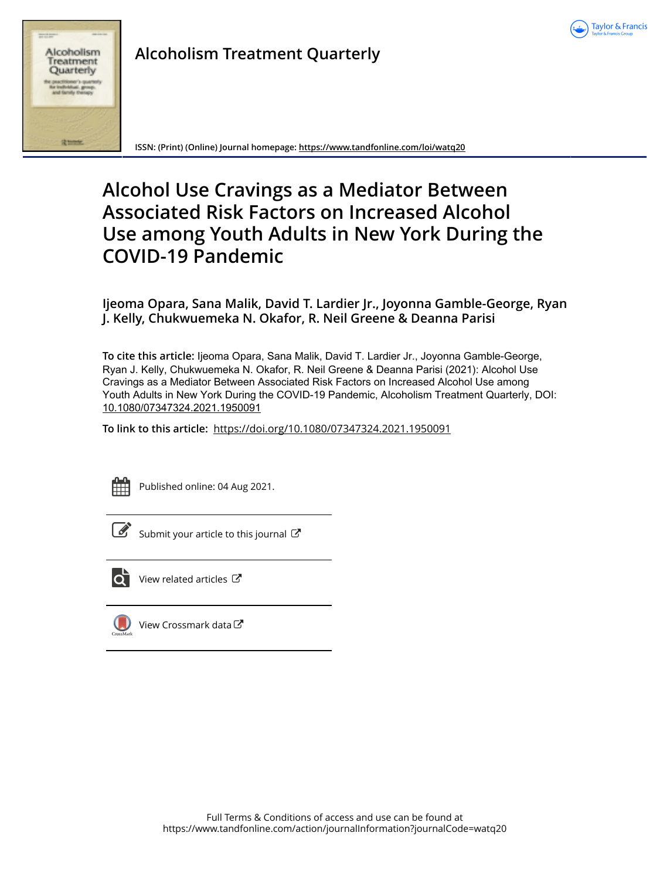



## **Alcoholism Treatment Quarterly**

**ISSN: (Print) (Online) Journal homepage:<https://www.tandfonline.com/loi/watq20>**

# **Alcohol Use Cravings as a Mediator Between Associated Risk Factors on Increased Alcohol Use among Youth Adults in New York During the COVID-19 Pandemic**

**Ijeoma Opara, Sana Malik, David T. Lardier Jr., Joyonna Gamble-George, Ryan J. Kelly, Chukwuemeka N. Okafor, R. Neil Greene & Deanna Parisi**

**To cite this article:** Ijeoma Opara, Sana Malik, David T. Lardier Jr., Joyonna Gamble-George, Ryan J. Kelly, Chukwuemeka N. Okafor, R. Neil Greene & Deanna Parisi (2021): Alcohol Use Cravings as a Mediator Between Associated Risk Factors on Increased Alcohol Use among Youth Adults in New York During the COVID-19 Pandemic, Alcoholism Treatment Quarterly, DOI: [10.1080/07347324.2021.1950091](https://www.tandfonline.com/action/showCitFormats?doi=10.1080/07347324.2021.1950091)

**To link to this article:** <https://doi.org/10.1080/07347324.2021.1950091>



Published online: 04 Aug 2021.



 $\mathbb G$  [Submit your article to this journal](https://www.tandfonline.com/action/authorSubmission?journalCode=watq20&show=instructions)  $\mathbb G$ 



[View related articles](https://www.tandfonline.com/doi/mlt/10.1080/07347324.2021.1950091) C



[View Crossmark data](http://crossmark.crossref.org/dialog/?doi=10.1080/07347324.2021.1950091&domain=pdf&date_stamp=2021-08-04)<sup>C</sup>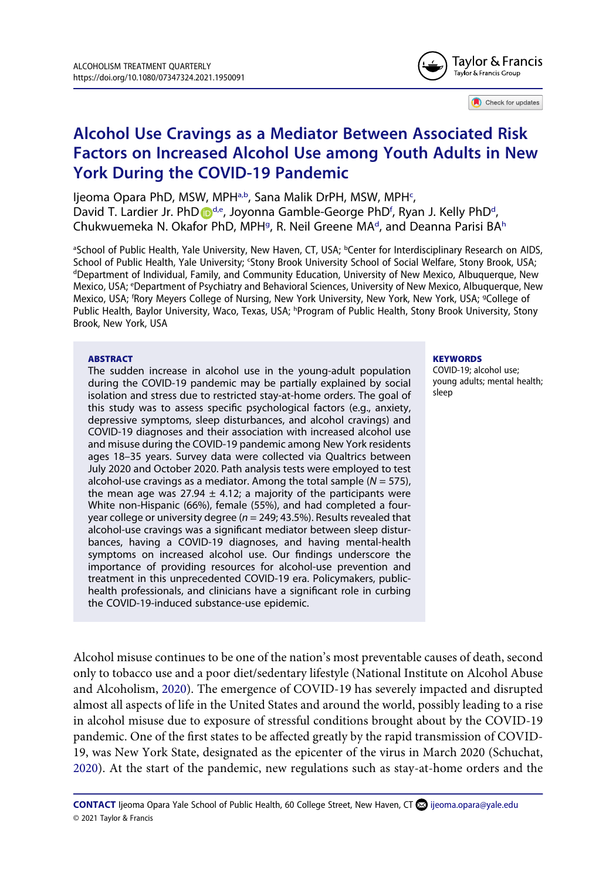

Check for updates

## **Alcohol Use Cravings as a Mediator Between Associated Risk Factors on Increased Alcohol Use among Youth Adults in New York During the COVID-19 Pandemic**

ljeoma Opara PhD, MSW, MPH<sup>[a,b](#page-1-0)</sup>, Sana Malik DrPH, MSW, MPH<sup>c</sup>, [D](http://orcid.org/0000-0002-7236-2049)avi[d](#page-1-2) T. Lardier Jr. PhD D<sup>d,e</sup>, Joyonna Gamble-George PhD<sup>f</sup>, Ryan J. Kelly PhD<sup>d</sup>, Chukwuemeka N. Okafor PhD, MPH<sup>g</sup>, R. Neil Greene MA<sup>[d](#page-1-2)</sup>, and Deanna Parisi BA<sup>h</sup>

<span id="page-1-4"></span><span id="page-1-3"></span><span id="page-1-2"></span><span id="page-1-1"></span><span id="page-1-0"></span><sup>a</sup>School of Public Health, Yale University, New Haven, CT, USA; <sup>b</sup>Center for Interdisciplinary Research on AIDS, School of Public Health, Yale University; 'Stony Brook University School of Social Welfare, Stony Brook, USA;<br>"Department of Individual Family, and Community Education, University of New Mexico, Albuquerque, New <sup>d</sup>Department of Individual, Family, and Community Education, University of New Mexico, Albuquerque, New Mexico, USA; e Department of Psychiatry and Behavioral Sciences, University of New Mexico, Albuquerque, New Mexico, USA; 'Rory Meyers College of Nursing, New York University, New York, New York, USA; <sup>g</sup>College of Public Health, Baylor University, Waco, Texas, USA; <sup>h</sup>Program of Public Health, Stony Brook University, Stony Brook, New York, USA

#### <span id="page-1-5"></span>**ABSTRACT**

The sudden increase in alcohol use in the young-adult population during the COVID-19 pandemic may be partially explained by social isolation and stress due to restricted stay-at-home orders. The goal of this study was to assess specific psychological factors (e.g., anxiety, depressive symptoms, sleep disturbances, and alcohol cravings) and COVID-19 diagnoses and their association with increased alcohol use and misuse during the COVID-19 pandemic among New York residents ages 18–35 years. Survey data were collected via Qualtrics between July 2020 and October 2020. Path analysis tests were employed to test alcohol-use cravings as a mediator. Among the total sample (*N* = 575), the mean age was 27.94  $\pm$  4.12; a majority of the participants were White non-Hispanic (66%), female (55%), and had completed a fouryear college or university degree (*n* = 249; 43.5%). Results revealed that alcohol-use cravings was a significant mediator between sleep disturbances, having a COVID-19 diagnoses, and having mental-health symptoms on increased alcohol use. Our findings underscore the importance of providing resources for alcohol-use prevention and treatment in this unprecedented COVID-19 era. Policymakers, publichealth professionals, and clinicians have a significant role in curbing the COVID-19-induced substance-use epidemic.

#### **KEYWORDS**

COVID-19; alcohol use; young adults; mental health; sleep

<span id="page-1-6"></span>Alcohol misuse continues to be one of the nation's most preventable causes of death, second only to tobacco use and a poor diet/sedentary lifestyle (National Institute on Alcohol Abuse and Alcoholism, [2020\)](#page-14-0). The emergence of COVID-19 has severely impacted and disrupted almost all aspects of life in the United States and around the world, possibly leading to a rise in alcohol misuse due to exposure of stressful conditions brought about by the COVID-19 pandemic. One of the first states to be affected greatly by the rapid transmission of COVID-19, was New York State, designated as the epicenter of the virus in March 2020 (Schuchat, [2020](#page-15-0)). At the start of the pandemic, new regulations such as stay-at-home orders and the

<span id="page-1-7"></span>CONTACT Ijeoma Opara Yale School of Public Health, 60 College Street, New Haven, CT **@** ijeoma.opara@yale.edu © 2021 Taylor & Francis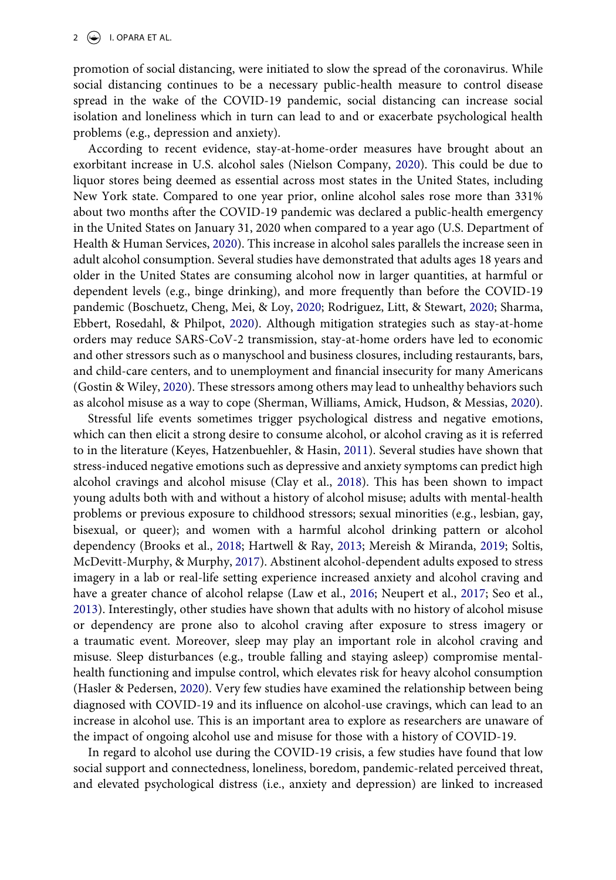promotion of social distancing, were initiated to slow the spread of the coronavirus. While social distancing continues to be a necessary public-health measure to control disease spread in the wake of the COVID-19 pandemic, social distancing can increase social isolation and loneliness which in turn can lead to and or exacerbate psychological health problems (e.g., depression and anxiety).

<span id="page-2-11"></span><span id="page-2-10"></span>According to recent evidence, stay-at-home-order measures have brought about an exorbitant increase in U.S. alcohol sales (Nielson Company, [2020\)](#page-15-1). This could be due to liquor stores being deemed as essential across most states in the United States, including New York state. Compared to one year prior, online alcohol sales rose more than 331% about two months after the COVID-19 pandemic was declared a public-health emergency in the United States on January 31, 2020 when compared to a year ago (U.S. Department of Health & Human Services, [2020](#page-15-2)). This increase in alcohol sales parallels the increase seen in adult alcohol consumption. Several studies have demonstrated that adults ages 18 years and older in the United States are consuming alcohol now in larger quantities, at harmful or dependent levels (e.g., binge drinking), and more frequently than before the COVID-19 pandemic (Boschuetz, Cheng, Mei, & Loy, [2020;](#page-13-0) Rodriguez, Litt, & Stewart, [2020](#page-14-1); Sharma, Ebbert, Rosedahl, & Philpot, [2020\)](#page-15-3). Although mitigation strategies such as stay-at-home orders may reduce SARS-CoV-2 transmission, stay-at-home orders have led to economic and other stressors such as o manyschool and business closures, including restaurants, bars, and child-care centers, and to unemployment and financial insecurity for many Americans (Gostin & Wiley, [2020\)](#page-13-1). These stressors among others may lead to unhealthy behaviors such as alcohol misuse as a way to cope (Sherman, Williams, Amick, Hudson, & Messias, [2020](#page-15-4)).

<span id="page-2-9"></span><span id="page-2-8"></span><span id="page-2-7"></span><span id="page-2-5"></span><span id="page-2-3"></span><span id="page-2-2"></span><span id="page-2-1"></span><span id="page-2-0"></span>Stressful life events sometimes trigger psychological distress and negative emotions, which can then elicit a strong desire to consume alcohol, or alcohol craving as it is referred to in the literature (Keyes, Hatzenbuehler, & Hasin, [2011](#page-14-2)). Several studies have shown that stress-induced negative emotions such as depressive and anxiety symptoms can predict high alcohol cravings and alcohol misuse (Clay et al., [2018\)](#page-13-2). This has been shown to impact young adults both with and without a history of alcohol misuse; adults with mental-health problems or previous exposure to childhood stressors; sexual minorities (e.g., lesbian, gay, bisexual, or queer); and women with a harmful alcohol drinking pattern or alcohol dependency (Brooks et al., [2018;](#page-13-3) Hartwell & Ray, [2013](#page-14-3); Mereish & Miranda, [2019](#page-14-4); Soltis, McDevitt-Murphy, & Murphy, [2017\)](#page-15-5). Abstinent alcohol-dependent adults exposed to stress imagery in a lab or real-life setting experience increased anxiety and alcohol craving and have a greater chance of alcohol relapse (Law et al., [2016](#page-14-5); Neupert et al., [2017](#page-14-6); Seo et al., [2013](#page-15-6)). Interestingly, other studies have shown that adults with no history of alcohol misuse or dependency are prone also to alcohol craving after exposure to stress imagery or a traumatic event. Moreover, sleep may play an important role in alcohol craving and misuse. Sleep disturbances (e.g., trouble falling and staying asleep) compromise mentalhealth functioning and impulse control, which elevates risk for heavy alcohol consumption (Hasler & Pedersen, [2020](#page-14-7)). Very few studies have examined the relationship between being diagnosed with COVID-19 and its influence on alcohol-use cravings, which can lead to an increase in alcohol use. This is an important area to explore as researchers are unaware of the impact of ongoing alcohol use and misuse for those with a history of COVID-19.

<span id="page-2-6"></span><span id="page-2-4"></span>In regard to alcohol use during the COVID-19 crisis, a few studies have found that low social support and connectedness, loneliness, boredom, pandemic-related perceived threat, and elevated psychological distress (i.e., anxiety and depression) are linked to increased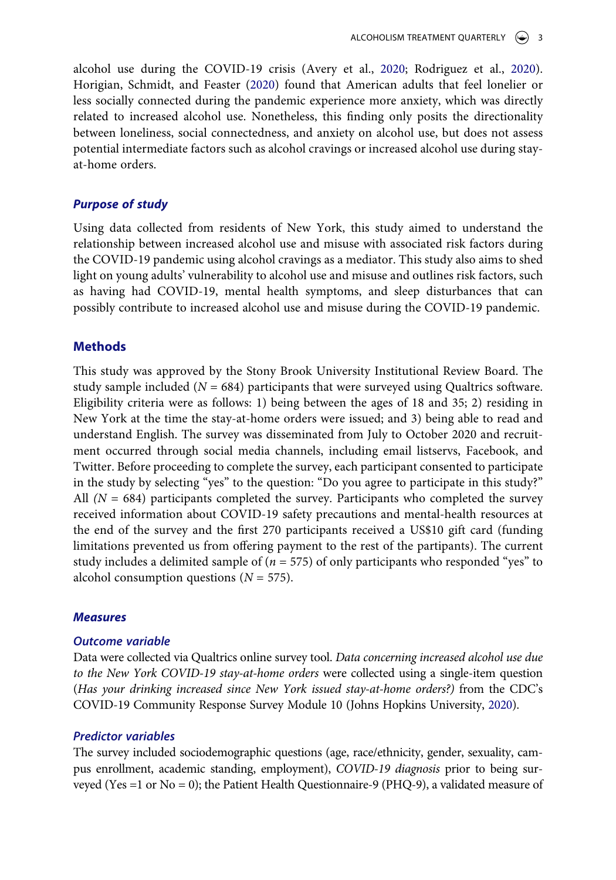<span id="page-3-1"></span><span id="page-3-0"></span>alcohol use during the COVID-19 crisis (Avery et al., [2020](#page-13-4); Rodriguez et al., [2020](#page-14-1)). Horigian, Schmidt, and Feaster ([2020\)](#page-14-8) found that American adults that feel lonelier or less socially connected during the pandemic experience more anxiety, which was directly related to increased alcohol use. Nonetheless, this finding only posits the directionality between loneliness, social connectedness, and anxiety on alcohol use, but does not assess potential intermediate factors such as alcohol cravings or increased alcohol use during stayat-home orders.

## *Purpose of study*

Using data collected from residents of New York, this study aimed to understand the relationship between increased alcohol use and misuse with associated risk factors during the COVID-19 pandemic using alcohol cravings as a mediator. This study also aims to shed light on young adults' vulnerability to alcohol use and misuse and outlines risk factors, such as having had COVID-19, mental health symptoms, and sleep disturbances that can possibly contribute to increased alcohol use and misuse during the COVID-19 pandemic.

## **Methods**

This study was approved by the Stony Brook University Institutional Review Board. The study sample included  $(N = 684)$  participants that were surveyed using Qualtrics software. Eligibility criteria were as follows: 1) being between the ages of 18 and 35; 2) residing in New York at the time the stay-at-home orders were issued; and 3) being able to read and understand English. The survey was disseminated from July to October 2020 and recruitment occurred through social media channels, including email listservs, Facebook, and Twitter. Before proceeding to complete the survey, each participant consented to participate in the study by selecting "yes" to the question: "Do you agree to participate in this study?" All  $(N = 684)$  participants completed the survey. Participants who completed the survey received information about COVID-19 safety precautions and mental-health resources at the end of the survey and the first 270 participants received a US\$10 gift card (funding limitations prevented us from offering payment to the rest of the partipants). The current study includes a delimited sample of (*n* = 575) of only participants who responded "yes" to alcohol consumption questions  $(N = 575)$ .

#### *Measures*

## *Outcome variable*

Data were collected via Qualtrics online survey tool. *Data concerning increased alcohol use due to the New York COVID-19 stay-at-home orders* were collected using a single-item question (*Has your drinking increased since New York issued stay-at-home orders?)* from the CDC's COVID-19 Community Response Survey Module 10 (Johns Hopkins University, [2020](#page-14-9)).

#### <span id="page-3-2"></span>*Predictor variables*

The survey included sociodemographic questions (age, race/ethnicity, gender, sexuality, campus enrollment, academic standing, employment), *COVID-19 diagnosis* prior to being surveyed (Yes =1 or No = 0); the Patient Health Questionnaire-9 (PHQ-9), a validated measure of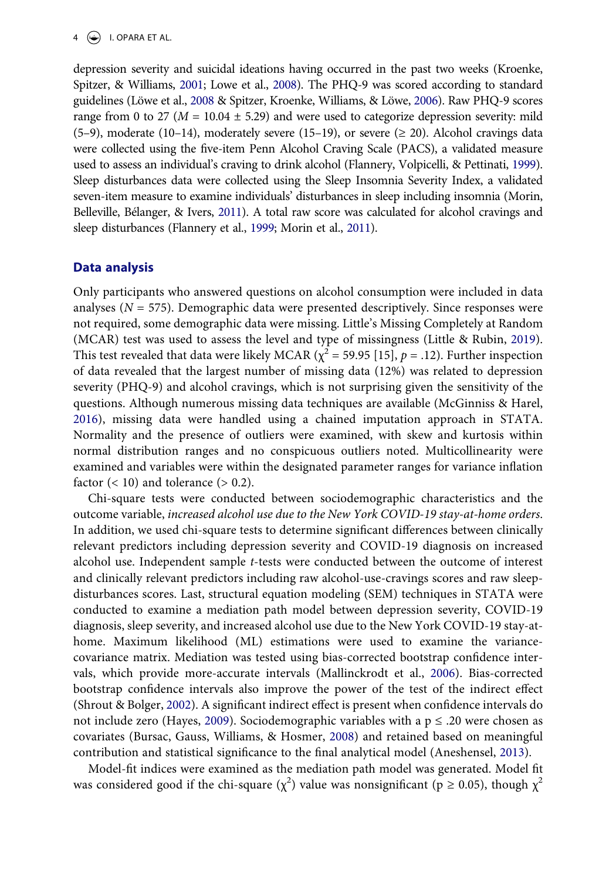<span id="page-4-6"></span><span id="page-4-4"></span>depression severity and suicidal ideations having occurred in the past two weeks (Kroenke, Spitzer, & Williams, [2001](#page-14-10); Lowe et al., [2008\)](#page-14-11). The PHQ-9 was scored according to standard guidelines (Löwe et al., [2008](#page-14-11) & Spitzer, Kroenke, Williams, & Löwe, [2006](#page-15-7)). Raw PHQ-9 scores range from 0 to 27 ( $M = 10.04 \pm 5.29$ ) and were used to categorize depression severity: mild (5–9), moderate (10–14), moderately severe (15–19), or severe ( $\geq$  20). Alcohol cravings data were collected using the five-item Penn Alcohol Craving Scale (PACS), a validated measure used to assess an individual's craving to drink alcohol (Flannery, Volpicelli, & Pettinati, [1999](#page-13-5)). Sleep disturbances data were collected using the Sleep Insomnia Severity Index, a validated seven-item measure to examine individuals' disturbances in sleep including insomnia (Morin, Belleville, Bélanger, & Ivers, [2011\)](#page-14-12). A total raw score was calculated for alcohol cravings and sleep disturbances (Flannery et al., [1999](#page-13-5); Morin et al., [2011](#page-14-12)).

## <span id="page-4-2"></span>**Data analysis**

<span id="page-4-5"></span>Only participants who answered questions on alcohol consumption were included in data analyses ( $N = 575$ ). Demographic data were presented descriptively. Since responses were not required, some demographic data were missing. Little's Missing Completely at Random (MCAR) test was used to assess the level and type of missingness (Little & Rubin, [2019](#page-14-13)). This test revealed that data were likely MCAR ( $\chi^2$  = 59.95 [15], *p* = .12). Further inspection of data revealed that the largest number of missing data (12%) was related to depression severity (PHQ-9) and alcohol cravings, which is not surprising given the sensitivity of the questions. Although numerous missing data techniques are available (McGinniss & Harel, [2016](#page-14-14)), missing data were handled using a chained imputation approach in STATA. Normality and the presence of outliers were examined, with skew and kurtosis within normal distribution ranges and no conspicuous outliers noted. Multicollinearity were examined and variables were within the designated parameter ranges for variance inflation factor  $(< 10$ ) and tolerance  $(> 0.2)$ .

<span id="page-4-8"></span>Chi-square tests were conducted between sociodemographic characteristics and the outcome variable, *increased alcohol use due to the New York COVID-19 stay-at-home orders*. In addition, we used chi-square tests to determine significant differences between clinically relevant predictors including depression severity and COVID-19 diagnosis on increased alcohol use. Independent sample *t*-tests were conducted between the outcome of interest and clinically relevant predictors including raw alcohol-use-cravings scores and raw sleepdisturbances scores. Last, structural equation modeling (SEM) techniques in STATA were conducted to examine a mediation path model between depression severity, COVID-19 diagnosis, sleep severity, and increased alcohol use due to the New York COVID-19 stay-athome. Maximum likelihood (ML) estimations were used to examine the variancecovariance matrix. Mediation was tested using bias-corrected bootstrap confidence intervals, which provide more-accurate intervals (Mallinckrodt et al., [2006](#page-14-15)). Bias-corrected bootstrap confidence intervals also improve the power of the test of the indirect effect (Shrout & Bolger, [2002](#page-15-8)). A significant indirect effect is present when confidence intervals do not include zero (Hayes, [2009](#page-14-16)). Sociodemographic variables with a  $p \le 0.20$  were chosen as covariates (Bursac, Gauss, Williams, & Hosmer, [2008\)](#page-13-6) and retained based on meaningful contribution and statistical significance to the final analytical model (Aneshensel, [2013](#page-13-7)).

<span id="page-4-9"></span><span id="page-4-7"></span><span id="page-4-3"></span><span id="page-4-1"></span><span id="page-4-0"></span>Model-fit indices were examined as the mediation path model was generated. Model fit was considered good if the chi-square  $(\chi^2)$  value was nonsignificant ( $p \ge 0.05$ ), though  $\chi^2$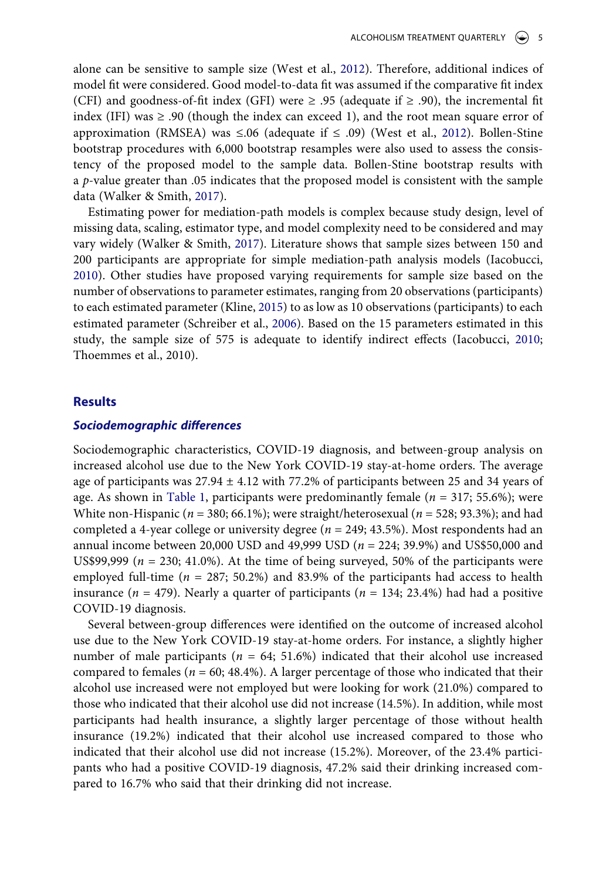<span id="page-5-4"></span>alone can be sensitive to sample size (West et al., [2012\)](#page-15-9). Therefore, additional indices of model fit were considered. Good model-to-data fit was assumed if the comparative fit index (CFI) and goodness-of-fit index (GFI) were  $\geq$  .95 (adequate if  $\geq$  .90), the incremental fit index (IFI) was  $\geq 0.90$  (though the index can exceed 1), and the root mean square error of approximation (RMSEA) was  $\leq 0.06$  (adequate if  $\leq 0.09$ ) (West et al., [2012\)](#page-15-9). Bollen-Stine bootstrap procedures with 6,000 bootstrap resamples were also used to assess the consistency of the proposed model to the sample data. Bollen-Stine bootstrap results with a *p*-value greater than .05 indicates that the proposed model is consistent with the sample data (Walker & Smith, [2017\)](#page-15-10).

<span id="page-5-3"></span><span id="page-5-1"></span>Estimating power for mediation-path models is complex because study design, level of missing data, scaling, estimator type, and model complexity need to be considered and may vary widely (Walker & Smith, [2017](#page-15-10)). Literature shows that sample sizes between 150 and 200 participants are appropriate for simple mediation-path analysis models (Iacobucci, [2010](#page-14-17)). Other studies have proposed varying requirements for sample size based on the number of observations to parameter estimates, ranging from 20 observations (participants) to each estimated parameter (Kline, [2015\)](#page-14-18) to as low as 10 observations (participants) to each estimated parameter (Schreiber et al., [2006\)](#page-15-11). Based on the 15 parameters estimated in this study, the sample size of 575 is adequate to identify indirect effects (Iacobucci, [2010;](#page-14-17) Thoemmes et al., 2010).

## <span id="page-5-2"></span><span id="page-5-0"></span>**Results**

### *Sociodemographic differences*

Sociodemographic characteristics, COVID-19 diagnosis, and between-group analysis on increased alcohol use due to the New York COVID-19 stay-at-home orders. The average age of participants was  $27.94 \pm 4.12$  with 77.2% of participants between 25 and 34 years of age. As shown in [Table 1](#page-6-0), participants were predominantly female (*n* = 317; 55.6%); were White non-Hispanic (*n* = 380; 66.1%); were straight/heterosexual (*n* = 528; 93.3%); and had completed a 4-year college or university degree (*n* = 249; 43.5%). Most respondents had an annual income between 20,000 USD and 49,999 USD (*n* = 224; 39.9%) and US\$50,000 and US\$99,999 ( $n = 230$ ; 41.0%). At the time of being surveyed, 50% of the participants were employed full-time ( $n = 287$ ; 50.2%) and 83.9% of the participants had access to health insurance ( $n = 479$ ). Nearly a quarter of participants ( $n = 134$ ; 23.4%) had had a positive COVID-19 diagnosis.

Several between-group differences were identified on the outcome of increased alcohol use due to the New York COVID-19 stay-at-home orders. For instance, a slightly higher number of male participants ( $n = 64$ ; 51.6%) indicated that their alcohol use increased compared to females ( $n = 60$ ; 48.4%). A larger percentage of those who indicated that their alcohol use increased were not employed but were looking for work (21.0%) compared to those who indicated that their alcohol use did not increase (14.5%). In addition, while most participants had health insurance, a slightly larger percentage of those without health insurance (19.2%) indicated that their alcohol use increased compared to those who indicated that their alcohol use did not increase (15.2%). Moreover, of the 23.4% participants who had a positive COVID-19 diagnosis, 47.2% said their drinking increased compared to 16.7% who said that their drinking did not increase.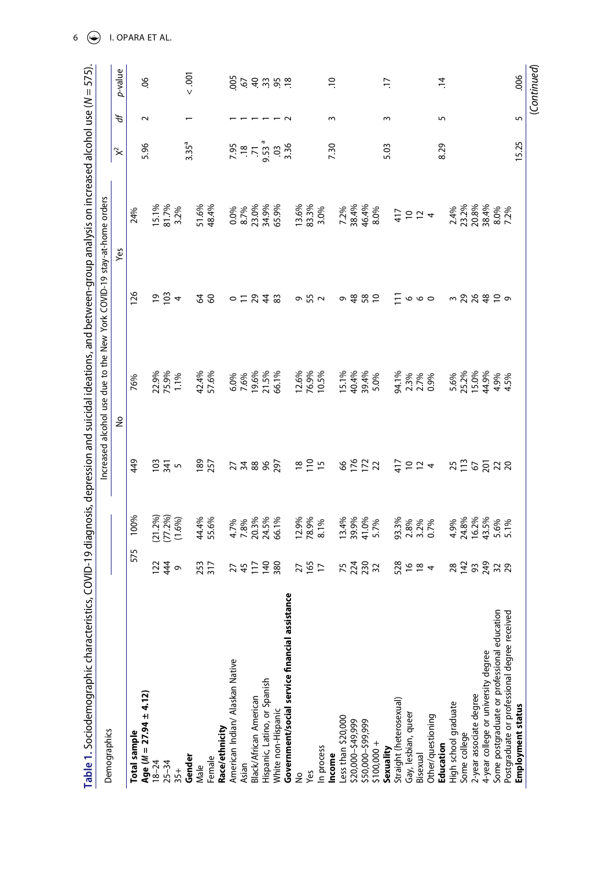<span id="page-6-0"></span>

| Table 1. Sociodemographic characteristi             |                                     |                                         |                   | $cs$ , COVID-19 diagnosis, depression and suicidal ideations, and between-group analysis on increased alcohol use (N = 575) |                             |                                                          |                                              |        |                |
|-----------------------------------------------------|-------------------------------------|-----------------------------------------|-------------------|-----------------------------------------------------------------------------------------------------------------------------|-----------------------------|----------------------------------------------------------|----------------------------------------------|--------|----------------|
| Demographics                                        |                                     |                                         |                   | Increased alcohol use due to the New York COVID-19 stay-at-home orders                                                      |                             |                                                          |                                              |        |                |
|                                                     |                                     |                                         |                   | ş                                                                                                                           |                             | Yes                                                      | $\approx$                                    | ď      | p-value        |
| Age ( $M = 27.94 \pm 4.12$ )<br><b>Total sample</b> | 575                                 | 100%                                    | 449               | 76%                                                                                                                         | 126                         | 24%                                                      | 5.96                                         | $\sim$ | 9Ö             |
| $18 - 24$                                           |                                     |                                         |                   |                                                                                                                             |                             |                                                          |                                              |        |                |
| $25 - 34$                                           | $\frac{5}{3}$ $\frac{4}{3}$ $\circ$ |                                         | $\frac{2}{3}$ 5 5 |                                                                                                                             | $\frac{5}{2}$ $\frac{4}{3}$ |                                                          |                                              |        |                |
| $35+$                                               |                                     | $(21.2%)$<br>$(77.2%)$<br>$(1.6%)$      |                   | 22.9%<br>75.9%<br>1.1%                                                                                                      |                             | 15.1%<br>81.7%<br>3.2%                                   |                                              |        |                |
| Gender                                              |                                     |                                         |                   |                                                                                                                             |                             |                                                          | $3.35^{a}$                                   |        | 000            |
| Male                                                | 253<br>317                          | 44.4%<br>55.6%                          | 189<br>257        | 42.4%<br>57.6%                                                                                                              | 38                          | 51.6%<br>48.4%                                           |                                              |        |                |
| Female                                              |                                     |                                         |                   |                                                                                                                             |                             |                                                          |                                              |        |                |
| Race/ethnicity                                      |                                     |                                         |                   |                                                                                                                             |                             |                                                          |                                              |        |                |
| American Indian/ Alaskan Native                     |                                     |                                         |                   |                                                                                                                             |                             | 0.0%<br>8.7%<br>8.7%<br>85.9%<br>85.9%                   |                                              |        |                |
| Asian                                               |                                     |                                         |                   |                                                                                                                             |                             |                                                          |                                              |        |                |
| Black/African American                              | 747288                              | 4.7%<br>7.8%<br>20.3%<br>24.5%<br>66.1% | 77888             | 6.0%<br>7.6%<br>19.5%<br>6.1%                                                                                               | $0 = 54.8$                  |                                                          |                                              |        |                |
| Hispanic, Latino, or Spanish                        |                                     |                                         |                   |                                                                                                                             |                             |                                                          |                                              |        |                |
| White non-Hispanic                                  |                                     |                                         |                   |                                                                                                                             |                             |                                                          |                                              |        |                |
| Government/social service financial assistance      |                                     |                                         |                   |                                                                                                                             |                             |                                                          | $7.95$<br>$7.5$<br>$7.5$<br>$3.36$<br>$3.36$ |        | 9557752        |
| ş                                                   |                                     |                                         |                   |                                                                                                                             |                             |                                                          |                                              |        |                |
| Yes                                                 | 2787                                |                                         | $m \geq m$        |                                                                                                                             | o 55 2                      |                                                          |                                              |        |                |
| In process                                          |                                     | $\frac{12.9\%}{78.9\%}$                 |                   | 12.6%<br>76.9%<br>10.5%                                                                                                     |                             | $\begin{array}{l} 13.6\% \\ 83.3\% \\ 3.0\% \end{array}$ |                                              |        |                |
| ncome                                               |                                     |                                         |                   |                                                                                                                             |                             |                                                          | 7.30                                         | $\sim$ | $\approx$      |
| Less than \$20,000                                  |                                     |                                         |                   | 15.1%<br>40.4%<br>39.4%<br>5.0%                                                                                             |                             | 7.2%<br>38.4%<br>46.4%<br>8.0%                           |                                              |        |                |
| \$20,000-\$49,999                                   | 5232                                | 13.4%<br>39.9%<br>41.0%<br>5.7%         | 8822              |                                                                                                                             | 9.882                       |                                                          |                                              |        |                |
| \$50,000-\$99,999                                   |                                     |                                         |                   |                                                                                                                             |                             |                                                          |                                              |        |                |
| $$100,000 +$                                        |                                     |                                         |                   |                                                                                                                             |                             |                                                          |                                              |        |                |
| Sexuality                                           |                                     |                                         |                   |                                                                                                                             |                             |                                                          | 5.03                                         | ξ      | $\overline{1}$ |
| Straight (heterosexual)                             | $528$ $29$ $4$                      | 93.3%<br>2.8%<br>3.2%<br>0.7%           | 417               |                                                                                                                             | Ξ                           | $\frac{47}{3}$ $\frac{10}{3}$ $\frac{11}{4}$             |                                              |        |                |
| Gay, lesbian, queer                                 |                                     |                                         |                   |                                                                                                                             |                             |                                                          |                                              |        |                |
| Bisexual                                            |                                     |                                         | 224               |                                                                                                                             | $\circ \circ \circ$         |                                                          |                                              |        |                |
| Other/questioning                                   |                                     |                                         |                   | 94.1%<br>2.3%<br>0.9%                                                                                                       |                             |                                                          |                                              |        |                |
| Education                                           |                                     |                                         |                   |                                                                                                                             |                             |                                                          | 8.29                                         | 5      | $\overline{1}$ |
| High school graduate                                |                                     |                                         |                   |                                                                                                                             |                             |                                                          |                                              |        |                |
| Some college                                        | 28222                               | 4.9%<br>24.8%<br>16.2%<br>5.6%<br>5.1%  | 37255728          | 5.6%<br>25.2%<br>15.0%<br>4.9%<br>4.5%                                                                                      | 3 2 2 3 2 2 9               | 2.4%<br>23.2%<br>20.8%<br>8.0%<br>7.2%                   |                                              |        |                |
| 2-year associate degree                             |                                     |                                         |                   |                                                                                                                             |                             |                                                          |                                              |        |                |
| 4-year college or university degree                 |                                     |                                         |                   |                                                                                                                             |                             |                                                          |                                              |        |                |
| Some postgraduate or professional education         |                                     |                                         |                   |                                                                                                                             |                             |                                                          |                                              |        |                |
| Postgraduate or professional degree received        |                                     |                                         |                   |                                                                                                                             |                             |                                                          |                                              |        |                |
| Employment status                                   |                                     |                                         |                   |                                                                                                                             |                             |                                                          | 15.25                                        | 5      | .006           |
|                                                     |                                     |                                         |                   |                                                                                                                             |                             |                                                          |                                              |        | (Continued)    |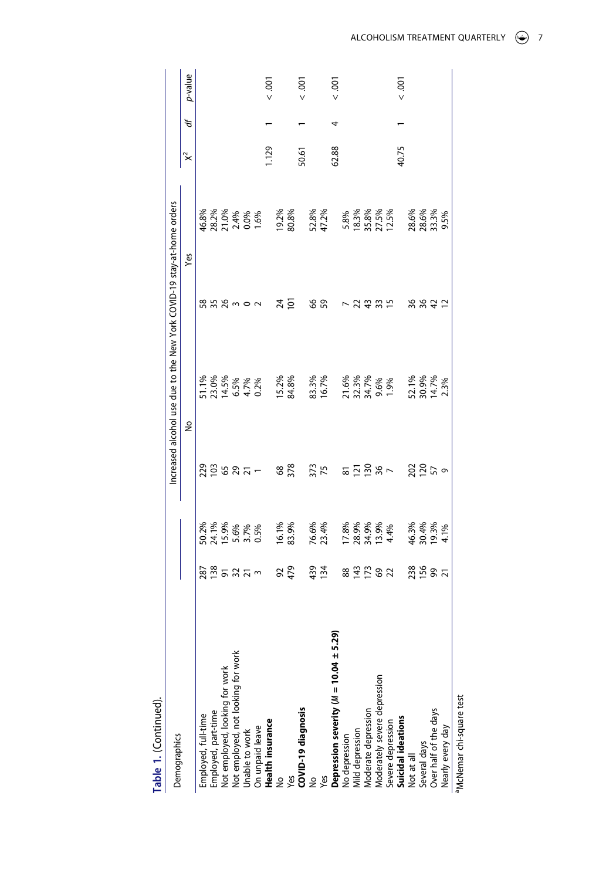| Table 1. (Continued).                                                                                                             |                 |                                        |                  |                                                                        |                |                                          |           |    |                 |
|-----------------------------------------------------------------------------------------------------------------------------------|-----------------|----------------------------------------|------------------|------------------------------------------------------------------------|----------------|------------------------------------------|-----------|----|-----------------|
| Demographics                                                                                                                      |                 |                                        |                  | Increased alcohol use due to the New York COVID-19 stay-at-home orders |                |                                          |           |    |                 |
|                                                                                                                                   |                 |                                        |                  | 9<br>No                                                                |                | Yes                                      | $\approx$ | ゚゚ | p-value         |
| Employed, full-time                                                                                                               |                 |                                        |                  |                                                                        |                |                                          |           |    |                 |
|                                                                                                                                   | ន្ត្រី ទី ង ដ ។ |                                        | $29987 -$        |                                                                        | 8889302        |                                          |           |    |                 |
| Employed, part-time<br>Not employed, looking for work                                                                             |                 |                                        |                  |                                                                        |                |                                          |           |    |                 |
|                                                                                                                                   |                 |                                        |                  |                                                                        |                |                                          |           |    |                 |
|                                                                                                                                   |                 |                                        |                  |                                                                        |                |                                          |           |    |                 |
| Not employed, not looking for work<br>Unable to work<br>On unpaid leave<br><b>Health insurance</b>                                |                 | 50.2%<br>24.1%<br>5.6%<br>5.7%<br>0.5% |                  | 51.1%<br>23.0%<br>0.5%<br>6.5%<br>0.2%                                 |                | 46.8%<br>28.2%<br>21.0%<br>0.0%<br>1.6%  |           |    |                 |
|                                                                                                                                   |                 |                                        |                  |                                                                        |                |                                          | 1.129     |    | $-0.001$        |
| $\frac{1}{2}$                                                                                                                     |                 | 16.1%<br>83.9%                         | $\rm ^{68}$      | 15.2%                                                                  | 24             | 19.2%                                    |           |    |                 |
| Yes                                                                                                                               | 92<br>479       |                                        | 378              | 84.8%                                                                  | $\overline{5}$ | 80.8%                                    |           |    |                 |
| COVID-19 diagnosis                                                                                                                |                 |                                        |                  |                                                                        |                |                                          | 50.61     |    | $\frac{100}{2}$ |
| ş                                                                                                                                 |                 |                                        |                  |                                                                        |                |                                          |           |    |                 |
| Yes                                                                                                                               | 439<br>134      | 76.6%<br>23.4%                         | 373<br>75        | 83.3%<br>16.7%                                                         | 66<br>59       | 52.8%<br>47.2%                           |           |    |                 |
| Depression severity (M = 10.04 ± 5.29)<br>No depression<br>Mild depression<br>Moderate depression<br>Moderately severe depression |                 |                                        |                  |                                                                        |                |                                          | 62.88     | 4  | $-001$          |
|                                                                                                                                   |                 |                                        |                  |                                                                        | $\overline{ }$ |                                          |           |    |                 |
|                                                                                                                                   |                 |                                        |                  |                                                                        | ನ              |                                          |           |    |                 |
|                                                                                                                                   | 899282          | 17.8%<br>28.9%<br>34.9%<br>13.9%       | <u>ង ក្នុង</u> ២ | 21.6%<br>32.3%<br>9.6%<br>9.6%<br>1.9%                                 | $437$          | 5.8%<br>18.3%<br>35.8%<br>27.5%<br>12.5% |           |    |                 |
|                                                                                                                                   |                 |                                        |                  |                                                                        |                |                                          |           |    |                 |
| Severe depression<br>Suicidal ideations                                                                                           |                 |                                        |                  |                                                                        |                |                                          |           |    |                 |
|                                                                                                                                   |                 |                                        |                  |                                                                        |                |                                          | 40.75     |    | 001             |
|                                                                                                                                   |                 |                                        |                  |                                                                        |                |                                          |           |    |                 |
| Not at all<br>Several days                                                                                                        |                 |                                        |                  |                                                                        |                |                                          |           |    |                 |
| Over half of the days                                                                                                             | 38887           | 46.3%<br>30.4%<br>19.3%                | 2259             | 52.1%<br>30.9%<br>14.7%                                                | 8822<br>88     | 28.6%<br>28.6%<br>33.3%<br>9.5%          |           |    |                 |
| Nearly every day                                                                                                                  |                 | 4.1%                                   |                  | 2.3%                                                                   |                |                                          |           |    |                 |
| <sup>a</sup> McNemar chi-square test                                                                                              |                 |                                        |                  |                                                                        |                |                                          |           |    |                 |

ALCOHOLISM TREATMENT QUARTERLY  $\circledast$  7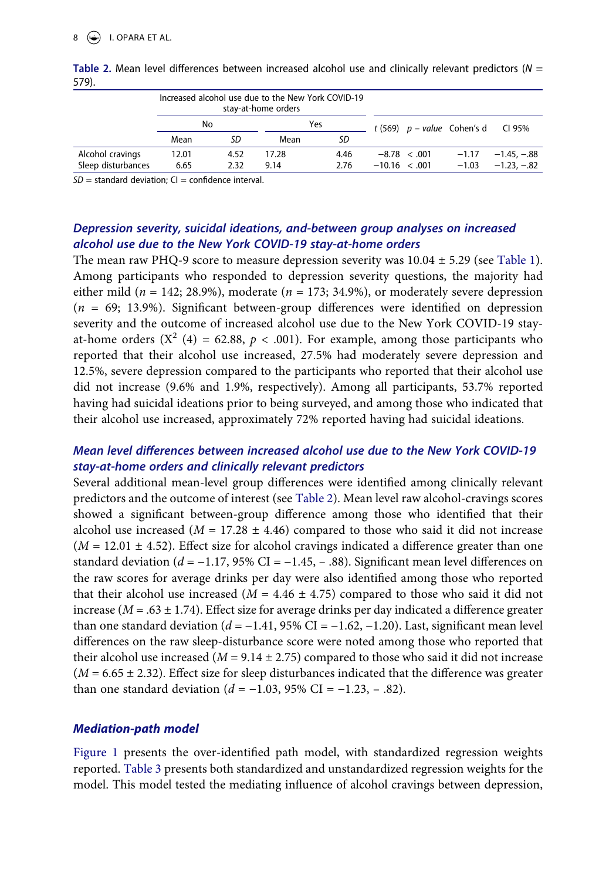|                    |       |      | stay-at-home orders | Increased alcohol use due to the New York COVID-19 |                   |                   |                               |                        |
|--------------------|-------|------|---------------------|----------------------------------------------------|-------------------|-------------------|-------------------------------|------------------------|
|                    | No    |      |                     | Yes                                                |                   |                   | t (569) $p$ – value Cohen's d | CI 95%                 |
|                    | Mean  | SD   | Mean                | SD                                                 |                   |                   |                               |                        |
| Alcohol cravings   | 12.01 | 4.52 | 17.28               | 4.46                                               |                   | $-8.78 \le 0.001$ |                               | $-1.17 -1.45$ , $-.88$ |
| Sleep disturbances | 6.65  | 2.32 | 9.14                | 2.76                                               | $-10.16 \le .001$ |                   | $-1.03$                       | $-1.23, -0.82$         |

<span id="page-8-0"></span>**Table 2.** Mean level differences between increased alcohol use and clinically relevant predictors (*N* = 579).

 $SD =$  standard deviation;  $CI =$  confidence interval.

## *Depression severity, suicidal ideations, and-between group analyses on increased alcohol use due to the New York COVID-19 stay-at-home orders*

The mean raw PHQ-9 score to measure depression severity was  $10.04 \pm 5.29$  (see [Table 1](#page-6-0)). Among participants who responded to depression severity questions, the majority had either mild ( $n = 142$ ; 28.9%), moderate ( $n = 173$ ; 34.9%), or moderately severe depression (*n* = 69; 13.9%). Significant between-group differences were identified on depression severity and the outcome of increased alcohol use due to the New York COVID-19 stayat-home orders  $(X^2 (4) = 62.88, p < .001)$ . For example, among those participants who reported that their alcohol use increased, 27.5% had moderately severe depression and 12.5%, severe depression compared to the participants who reported that their alcohol use did not increase (9.6% and 1.9%, respectively). Among all participants, 53.7% reported having had suicidal ideations prior to being surveyed, and among those who indicated that their alcohol use increased, approximately 72% reported having had suicidal ideations.

## *Mean level differences between increased alcohol use due to the New York COVID-19 stay-at-home orders and clinically relevant predictors*

Several additional mean-level group differences were identified among clinically relevant predictors and the outcome of interest (see [Table 2](#page-8-0)). Mean level raw alcohol-cravings scores showed a significant between-group difference among those who identified that their alcohol use increased ( $M = 17.28 \pm 4.46$ ) compared to those who said it did not increase  $(M = 12.01 \pm 4.52)$ . Effect size for alcohol cravings indicated a difference greater than one standard deviation ( $d = -1.17$ , 95% CI =  $-1.45$ ,  $-0.88$ ). Significant mean level differences on the raw scores for average drinks per day were also identified among those who reported that their alcohol use increased ( $M = 4.46 \pm 4.75$ ) compared to those who said it did not increase ( $M = .63 \pm 1.74$ ). Effect size for average drinks per day indicated a difference greater than one standard deviation  $(d = -1.41, 95\% \text{ CI} = -1.62, -1.20)$ . Last, significant mean level differences on the raw sleep-disturbance score were noted among those who reported that their alcohol use increased ( $M = 9.14 \pm 2.75$ ) compared to those who said it did not increase  $(M = 6.65 \pm 2.32)$ . Effect size for sleep disturbances indicated that the difference was greater than one standard deviation  $(d = −1.03, 95\% \text{ CI} = −1.23, −0.82)$ .

## *Mediation-path model*

[Figure 1](#page-9-0) presents the over-identified path model, with standardized regression weights reported. [Table 3](#page-9-1) presents both standardized and unstandardized regression weights for the model. This model tested the mediating influence of alcohol cravings between depression,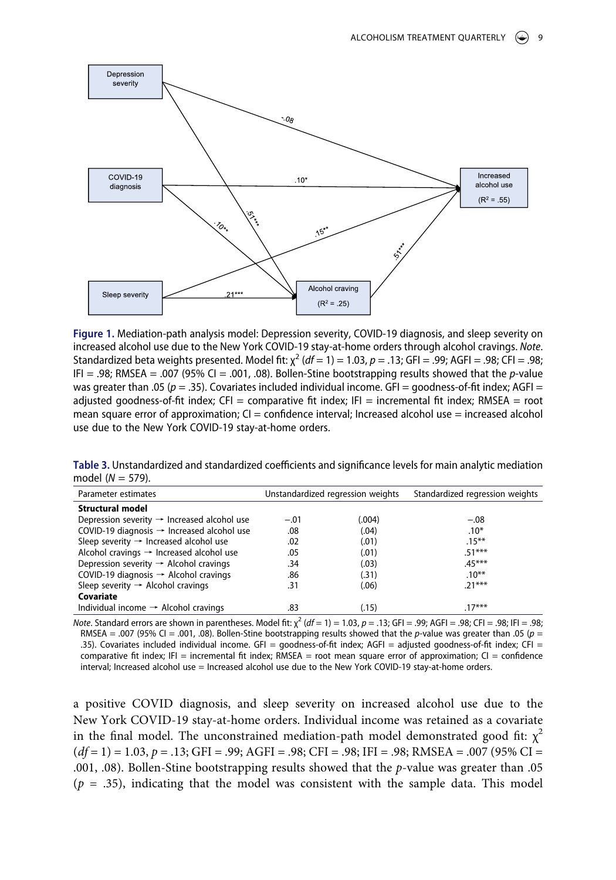<span id="page-9-0"></span>

**Figure 1.** Mediation-path analysis model: Depression severity, COVID-19 diagnosis, and sleep severity on increased alcohol use due to the New York COVID-19 stay-at-home orders through alcohol cravings. *Note*. Standardized beta weights presented. Model fit: χ 2 (*df* = 1) = 1.03, *p* = .13; GFI = .99; AGFI = .98; CFI = .98; IFI = .98; RMSEA = .007 (95% CI = .001, .08). Bollen-Stine bootstrapping results showed that the *p*-value was greater than .05 ( $p = .35$ ). Covariates included individual income. GFI = goodness-of-fit index; AGFI = adjusted goodness-of-fit index; CFI = comparative fit index; IFI = incremental fit index; RMSEA = root mean square error of approximation;  $CI =$  confidence interval; Increased alcohol use  $=$  increased alcohol use due to the New York COVID-19 stay-at-home orders.

<span id="page-9-1"></span>**Table 3.** Unstandardized and standardized coefficients and significance levels for main analytic mediation model (*N* = 579).

| Parameter estimates                                     |        | Unstandardized regression weights | Standardized regression weights |
|---------------------------------------------------------|--------|-----------------------------------|---------------------------------|
| Structural model                                        |        |                                   |                                 |
| Depression severity $\rightarrow$ Increased alcohol use | $-.01$ | (.004)                            | $-.08$                          |
| COVID-19 diagnosis $\rightarrow$ Increased alcohol use  | .08    | (.04)                             | $.10*$                          |
| Sleep severity $\rightarrow$ Increased alcohol use      | .02    | (.01)                             | $.15***$                        |
| Alcohol cravings $\rightarrow$ Increased alcohol use    | .05    | (.01)                             | $.51***$                        |
| Depression severity $\rightarrow$ Alcohol cravings      | .34    | (.03)                             | $.45***$                        |
| COVID-19 diagnosis $\rightarrow$ Alcohol cravings       | .86    | (.31)                             | $.10***$                        |
| Sleep severity $\rightarrow$ Alcohol cravings           | .31    | (.06)                             | $.21***$                        |
| Covariate                                               |        |                                   |                                 |
| Individual income $\rightarrow$ Alcohol cravings        | .83    | (.15)                             | $17***$                         |

*Note*. Standard errors are shown in parentheses. Model fit: χ 2 (*df* = 1) = 1.03, *p* = .13; GFI = .99; AGFI = .98; CFI = .98; IFI = .98; RMSEA = .007 (95% CI = .001, .08). Bollen-Stine bootstrapping results showed that the *p*-value was greater than .05 (*p* = .35). Covariates included individual income. GFI = goodness-of-fit index; AGFI = adjusted goodness-of-fit index; CFI = comparative fit index; IFI = incremental fit index; RMSEA = root mean square error of approximation;  $CI =$  confidence interval; Increased alcohol use = Increased alcohol use due to the New York COVID-19 stay-at-home orders.

a positive COVID diagnosis, and sleep severity on increased alcohol use due to the New York COVID-19 stay-at-home orders. Individual income was retained as a covariate in the final model. The unconstrained mediation-path model demonstrated good fit:  $\chi^2$ (*df* = 1) = 1.03, *p* = .13; GFI = .99; AGFI = .98; CFI = .98; IFI = .98; RMSEA = .007 (95% CI = .001, .08). Bollen-Stine bootstrapping results showed that the *p*-value was greater than .05  $(p = .35)$ , indicating that the model was consistent with the sample data. This model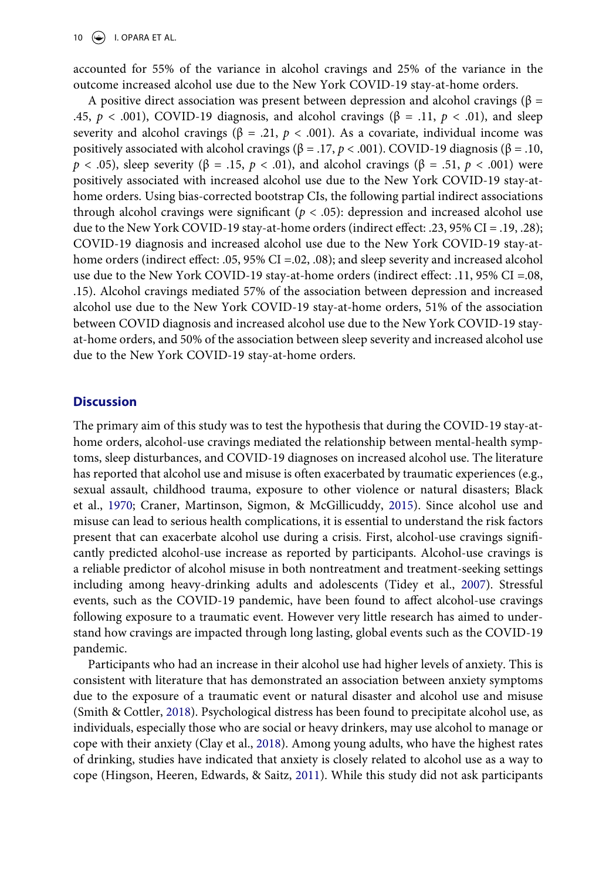10  $\left(\bigstar\right)$  I. OPARA ET AL.

accounted for 55% of the variance in alcohol cravings and 25% of the variance in the outcome increased alcohol use due to the New York COVID-19 stay-at-home orders.

A positive direct association was present between depression and alcohol cravings ( $\beta$  = .45,  $p < .001$ ), COVID-19 diagnosis, and alcohol cravings ( $\beta = .11$ ,  $p < .01$ ), and sleep severity and alcohol cravings ( $\beta$  = .21,  $p$  < .001). As a covariate, individual income was positively associated with alcohol cravings (β = .17, *p* < .001). COVID-19 diagnosis (β = .10, *p* < .05), sleep severity (β = .15, *p* < .01), and alcohol cravings (β = .51, *p* < .001) were positively associated with increased alcohol use due to the New York COVID-19 stay-athome orders. Using bias-corrected bootstrap CIs, the following partial indirect associations through alcohol cravings were significant ( $p < .05$ ): depression and increased alcohol use due to the New York COVID-19 stay-at-home orders (indirect effect: .23, 95% CI = .19, .28); COVID-19 diagnosis and increased alcohol use due to the New York COVID-19 stay-athome orders (indirect effect: .05, 95% CI =.02, .08); and sleep severity and increased alcohol use due to the New York COVID-19 stay-at-home orders (indirect effect: .11, 95% CI = 08, .15). Alcohol cravings mediated 57% of the association between depression and increased alcohol use due to the New York COVID-19 stay-at-home orders, 51% of the association between COVID diagnosis and increased alcohol use due to the New York COVID-19 stayat-home orders, and 50% of the association between sleep severity and increased alcohol use due to the New York COVID-19 stay-at-home orders.

#### **Discussion**

<span id="page-10-0"></span>The primary aim of this study was to test the hypothesis that during the COVID-19 stay-athome orders, alcohol-use cravings mediated the relationship between mental-health symptoms, sleep disturbances, and COVID-19 diagnoses on increased alcohol use. The literature has reported that alcohol use and misuse is often exacerbated by traumatic experiences (e.g., sexual assault, childhood trauma, exposure to other violence or natural disasters; Black et al., [1970](#page-13-8); Craner, Martinson, Sigmon, & McGillicuddy, [2015](#page-13-9)). Since alcohol use and misuse can lead to serious health complications, it is essential to understand the risk factors present that can exacerbate alcohol use during a crisis. First, alcohol-use cravings significantly predicted alcohol-use increase as reported by participants. Alcohol-use cravings is a reliable predictor of alcohol misuse in both nontreatment and treatment-seeking settings including among heavy-drinking adults and adolescents (Tidey et al., [2007](#page-15-12)). Stressful events, such as the COVID-19 pandemic, have been found to affect alcohol-use cravings following exposure to a traumatic event. However very little research has aimed to understand how cravings are impacted through long lasting, global events such as the COVID-19 pandemic.

<span id="page-10-3"></span><span id="page-10-2"></span><span id="page-10-1"></span>Participants who had an increase in their alcohol use had higher levels of anxiety. This is consistent with literature that has demonstrated an association between anxiety symptoms due to the exposure of a traumatic event or natural disaster and alcohol use and misuse (Smith & Cottler, [2018](#page-15-13)). Psychological distress has been found to precipitate alcohol use, as individuals, especially those who are social or heavy drinkers, may use alcohol to manage or cope with their anxiety (Clay et al., [2018\)](#page-13-2). Among young adults, who have the highest rates of drinking, studies have indicated that anxiety is closely related to alcohol use as a way to cope (Hingson, Heeren, Edwards, & Saitz, [2011\)](#page-14-19). While this study did not ask participants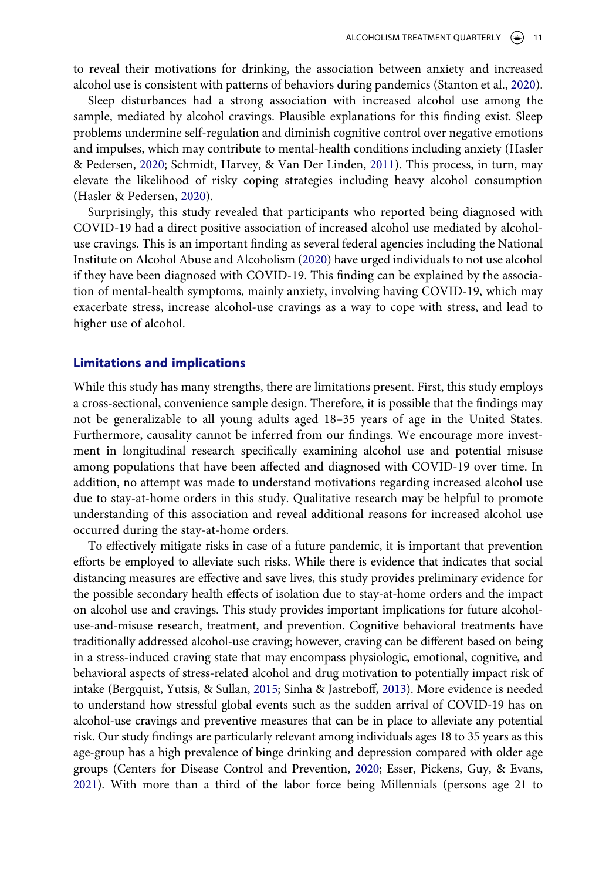<span id="page-11-3"></span>to reveal their motivations for drinking, the association between anxiety and increased alcohol use is consistent with patterns of behaviors during pandemics (Stanton et al., [2020](#page-15-14)).

Sleep disturbances had a strong association with increased alcohol use among the sample, mediated by alcohol cravings. Plausible explanations for this finding exist. Sleep problems undermine self-regulation and diminish cognitive control over negative emotions and impulses, which may contribute to mental-health conditions including anxiety (Hasler & Pedersen, [2020;](#page-14-7) Schmidt, Harvey, & Van Der Linden, [2011\)](#page-14-20). This process, in turn, may elevate the likelihood of risky coping strategies including heavy alcohol consumption (Hasler & Pedersen, [2020](#page-14-7)).

<span id="page-11-2"></span>Surprisingly, this study revealed that participants who reported being diagnosed with COVID-19 had a direct positive association of increased alcohol use mediated by alcoholuse cravings. This is an important finding as several federal agencies including the National Institute on Alcohol Abuse and Alcoholism [\(2020\)](#page-14-0) have urged individuals to not use alcohol if they have been diagnosed with COVID-19. This finding can be explained by the association of mental-health symptoms, mainly anxiety, involving having COVID-19, which may exacerbate stress, increase alcohol-use cravings as a way to cope with stress, and lead to higher use of alcohol.

#### **Limitations and implications**

While this study has many strengths, there are limitations present. First, this study employs a cross-sectional, convenience sample design. Therefore, it is possible that the findings may not be generalizable to all young adults aged 18–35 years of age in the United States. Furthermore, causality cannot be inferred from our findings. We encourage more investment in longitudinal research specifically examining alcohol use and potential misuse among populations that have been affected and diagnosed with COVID-19 over time. In addition, no attempt was made to understand motivations regarding increased alcohol use due to stay-at-home orders in this study. Qualitative research may be helpful to promote understanding of this association and reveal additional reasons for increased alcohol use occurred during the stay-at-home orders.

<span id="page-11-1"></span><span id="page-11-0"></span>To effectively mitigate risks in case of a future pandemic, it is important that prevention efforts be employed to alleviate such risks. While there is evidence that indicates that social distancing measures are effective and save lives, this study provides preliminary evidence for the possible secondary health effects of isolation due to stay-at-home orders and the impact on alcohol use and cravings. This study provides important implications for future alcoholuse-and-misuse research, treatment, and prevention. Cognitive behavioral treatments have traditionally addressed alcohol-use craving; however, craving can be different based on being in a stress-induced craving state that may encompass physiologic, emotional, cognitive, and behavioral aspects of stress-related alcohol and drug motivation to potentially impact risk of intake (Bergquist, Yutsis, & Sullan, [2015](#page-13-10); Sinha & Jastreboff, [2013](#page-15-15)). More evidence is needed to understand how stressful global events such as the sudden arrival of COVID-19 has on alcohol-use cravings and preventive measures that can be in place to alleviate any potential risk. Our study findings are particularly relevant among individuals ages 18 to 35 years as this age-group has a high prevalence of binge drinking and depression compared with older age groups (Centers for Disease Control and Prevention, [2020](#page-13-11); Esser, Pickens, Guy, & Evans, [2021\)](#page-13-12). With more than a third of the labor force being Millennials (persons age 21 to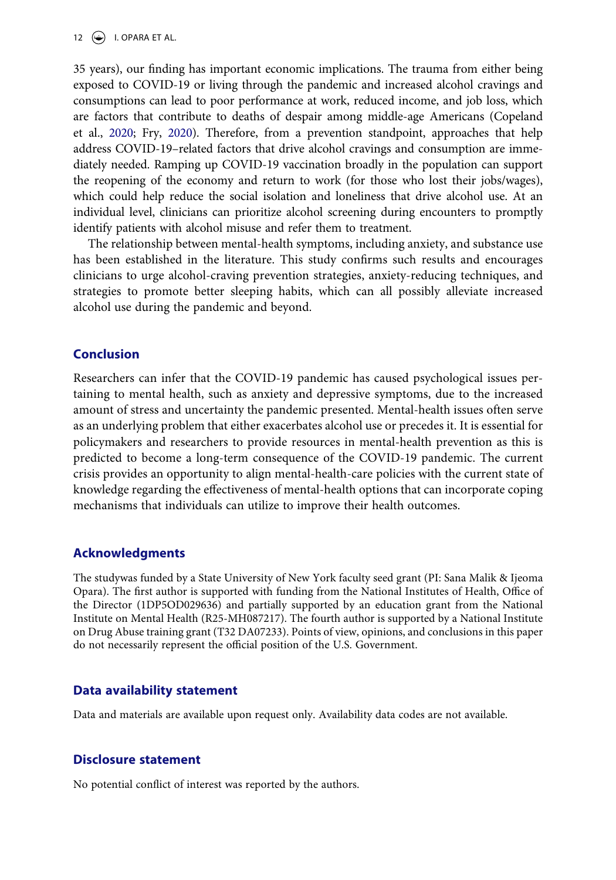12  $\left(\bigstar\right)$  I. OPARA ET AL.

<span id="page-12-0"></span>35 years), our finding has important economic implications. The trauma from either being exposed to COVID-19 or living through the pandemic and increased alcohol cravings and consumptions can lead to poor performance at work, reduced income, and job loss, which are factors that contribute to deaths of despair among middle-age Americans (Copeland et al., [2020;](#page-13-13) Fry, [2020](#page-13-14)). Therefore, from a prevention standpoint, approaches that help address COVID-19–related factors that drive alcohol cravings and consumption are immediately needed. Ramping up COVID-19 vaccination broadly in the population can support the reopening of the economy and return to work (for those who lost their jobs/wages), which could help reduce the social isolation and loneliness that drive alcohol use. At an individual level, clinicians can prioritize alcohol screening during encounters to promptly identify patients with alcohol misuse and refer them to treatment.

The relationship between mental-health symptoms, including anxiety, and substance use has been established in the literature. This study confirms such results and encourages clinicians to urge alcohol-craving prevention strategies, anxiety-reducing techniques, and strategies to promote better sleeping habits, which can all possibly alleviate increased alcohol use during the pandemic and beyond.

## **Conclusion**

Researchers can infer that the COVID-19 pandemic has caused psychological issues pertaining to mental health, such as anxiety and depressive symptoms, due to the increased amount of stress and uncertainty the pandemic presented. Mental-health issues often serve as an underlying problem that either exacerbates alcohol use or precedes it. It is essential for policymakers and researchers to provide resources in mental-health prevention as this is predicted to become a long-term consequence of the COVID-19 pandemic. The current crisis provides an opportunity to align mental-health-care policies with the current state of knowledge regarding the effectiveness of mental-health options that can incorporate coping mechanisms that individuals can utilize to improve their health outcomes.

## **Acknowledgments**

The studywas funded by a State University of New York faculty seed grant (PI: Sana Malik & Ijeoma Opara). The first author is supported with funding from the National Institutes of Health, Office of the Director (1DP5OD029636) and partially supported by an education grant from the National Institute on Mental Health (R25-MH087217). The fourth author is supported by a National Institute on Drug Abuse training grant (T32 DA07233). Points of view, opinions, and conclusions in this paper do not necessarily represent the official position of the U.S. Government.

### **Data availability statement**

Data and materials are available upon request only. Availability data codes are not available.

### **Disclosure statement**

No potential conflict of interest was reported by the authors.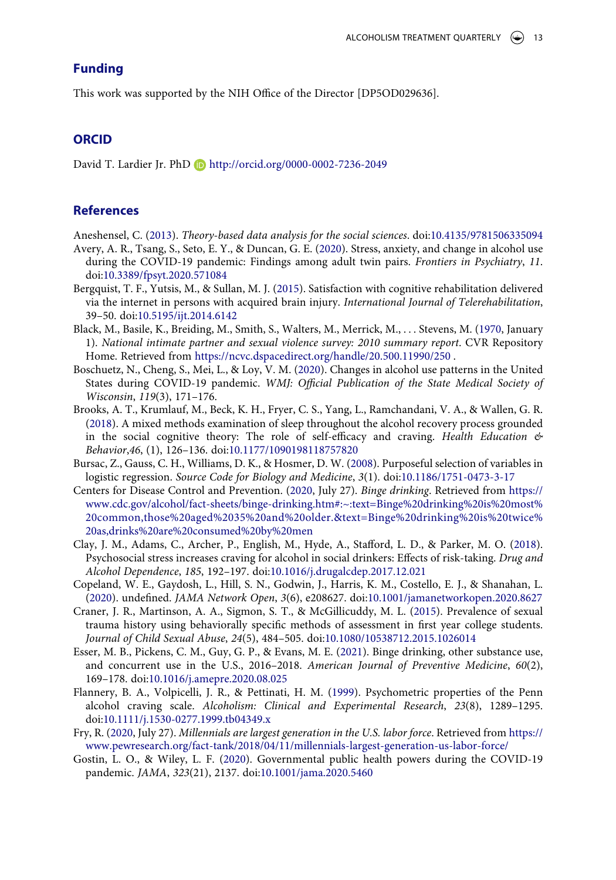## **Funding**

This work was supported by the NIH Office of the Director [DP5OD029636].

## **ORCID**

David T. Lardier Jr. PhD http://orcid.org/0000-0002-7236-2049

## **References**

<span id="page-13-7"></span>Aneshensel, C. [\(2013\)](#page-4-0). *Theory-based data analysis for the social sciences*. doi:[10.4135/9781506335094](https://doi.org/10.4135/9781506335094)

- <span id="page-13-4"></span>Avery, A. R., Tsang, S., Seto, E. Y., & Duncan, G. E. [\(2020](#page-3-0)). Stress, anxiety, and change in alcohol use during the COVID-19 pandemic: Findings among adult twin pairs. *Frontiers in Psychiatry*, *11*. doi:[10.3389/fpsyt.2020.571084](https://doi.org/10.3389/fpsyt.2020.571084)
- <span id="page-13-10"></span>Bergquist, T. F., Yutsis, M., & Sullan, M. J. ([2015\)](#page-11-0). Satisfaction with cognitive rehabilitation delivered via the internet in persons with acquired brain injury. *International Journal of Telerehabilitation*, 39–50. doi:[10.5195/ijt.2014.6142](https://doi.org/10.5195/ijt.2014.6142)
- <span id="page-13-8"></span>Black, M., Basile, K., Breiding, M., Smith, S., Walters, M., Merrick, M., . . . Stevens, M. ([1970](#page-10-0), January 1). *National intimate partner and sexual violence survey: 2010 summary report*. CVR Repository Home. Retrieved from <https://ncvc.dspacedirect.org/handle/20.500.11990/250>.
- <span id="page-13-0"></span>Boschuetz, N., Cheng, S., Mei, L., & Loy, V. M. ([2020](#page-2-0)). Changes in alcohol use patterns in the United States during COVID-19 pandemic. *WMJ: Official Publication of the State Medical Society of Wisconsin*, *119*(3), 171–176.
- <span id="page-13-3"></span>Brooks, A. T., Krumlauf, M., Beck, K. H., Fryer, C. S., Yang, L., Ramchandani, V. A., & Wallen, G. R. [\(2018\)](#page-2-1). A mixed methods examination of sleep throughout the alcohol recovery process grounded in the social cognitive theory: The role of self-efficacy and craving. *Health Education & Behavior*,*46*, (1), 126–136. doi:[10.1177/1090198118757820](https://doi.org/10.1177/1090198118757820)
- <span id="page-13-6"></span>Bursac, Z., Gauss, C. H., Williams, D. K., & Hosmer, D. W. ([2008](#page-4-1)). Purposeful selection of variables in logistic regression. *Source Code for Biology and Medicine*, *3*(1). doi:[10.1186/1751-0473-3-17](https://doi.org/10.1186/1751-0473-3-17)
- <span id="page-13-11"></span>Centers for Disease Control and Prevention. [\(2020,](#page-11-1) July 27). *Binge drinking*. Retrieved from [https://](https://www.cdc.gov/alcohol/fact-sheets/binge-drinking.htm#:~:text=Binge%20drinking%20is%20most%20common,those%20aged%2035%20and%20older.%26text=Binge%20drinking%20is%20twice%20as,drinks%20are%20consumed%20by%20men) [www.cdc.gov/alcohol/fact-sheets/binge-drinking.htm#:~:text=Binge%20drinking%20is%20most%](https://www.cdc.gov/alcohol/fact-sheets/binge-drinking.htm#:~:text=Binge%20drinking%20is%20most%20common,those%20aged%2035%20and%20older.%26text=Binge%20drinking%20is%20twice%20as,drinks%20are%20consumed%20by%20men) [20common,those%20aged%2035%20and%20older.&text=Binge%20drinking%20is%20twice%](https://www.cdc.gov/alcohol/fact-sheets/binge-drinking.htm#:~:text=Binge%20drinking%20is%20most%20common,those%20aged%2035%20and%20older.%26text=Binge%20drinking%20is%20twice%20as,drinks%20are%20consumed%20by%20men) [20as,drinks%20are%20consumed%20by%20men](https://www.cdc.gov/alcohol/fact-sheets/binge-drinking.htm#:~:text=Binge%20drinking%20is%20most%20common,those%20aged%2035%20and%20older.%26text=Binge%20drinking%20is%20twice%20as,drinks%20are%20consumed%20by%20men)
- <span id="page-13-2"></span>Clay, J. M., Adams, C., Archer, P., English, M., Hyde, A., Stafford, L. D., & Parker, M. O. [\(2018\)](#page-2-2). Psychosocial stress increases craving for alcohol in social drinkers: Effects of risk-taking. *Drug and Alcohol Dependence*, *185*, 192–197. doi:[10.1016/j.drugalcdep.2017.12.021](https://doi.org/10.1016/j.drugalcdep.2017.12.021)
- <span id="page-13-13"></span>Copeland, W. E., Gaydosh, L., Hill, S. N., Godwin, J., Harris, K. M., Costello, E. J., & Shanahan, L. [\(2020\)](#page-12-0). undefined. *JAMA Network Open*, *3*(6), e208627. doi:[10.1001/jamanetworkopen.2020.8627](https://doi.org/10.1001/jamanetworkopen.2020.8627)
- <span id="page-13-9"></span>Craner, J. R., Martinson, A. A., Sigmon, S. T., & McGillicuddy, M. L. ([2015\)](#page-10-0). Prevalence of sexual trauma history using behaviorally specific methods of assessment in first year college students. *Journal of Child Sexual Abuse*, *24*(5), 484–505. doi:[10.1080/10538712.2015.1026014](https://doi.org/10.1080/10538712.2015.1026014)
- <span id="page-13-12"></span>Esser, M. B., Pickens, C. M., Guy, G. P., & Evans, M. E. [\(2021\)](#page-11-1). Binge drinking, other substance use, and concurrent use in the U.S., 2016–2018. *American Journal of Preventive Medicine*, *60*(2), 169–178. doi:[10.1016/j.amepre.2020.08.025](https://doi.org/10.1016/j.amepre.2020.08.025)
- <span id="page-13-5"></span>Flannery, B. A., Volpicelli, J. R., & Pettinati, H. M. ([1999\)](#page-4-2). Psychometric properties of the Penn alcohol craving scale. *Alcoholism: Clinical and Experimental Research*, *23*(8), 1289–1295. doi:[10.1111/j.1530-0277.1999.tb04349.x](https://doi.org/10.1111/j.1530-0277.1999.tb04349.x)
- <span id="page-13-14"></span>Fry, R. [\(2020,](#page-12-0) July 27). *Millennials are largest generation in the U.S. labor force*. Retrieved from [https://](https://www.pewresearch.org/fact-tank/2018/04/11/millennials-largest-generation-us-labor-force/) [www.pewresearch.org/fact-tank/2018/04/11/millennials-largest-generation-us-labor-force/](https://www.pewresearch.org/fact-tank/2018/04/11/millennials-largest-generation-us-labor-force/)
- <span id="page-13-1"></span>Gostin, L. O., & Wiley, L. F. ([2020](#page-2-3)). Governmental public health powers during the COVID-19 pandemic. *JAMA*, *323*(21), 2137. doi:[10.1001/jama.2020.5460](https://doi.org/10.1001/jama.2020.5460)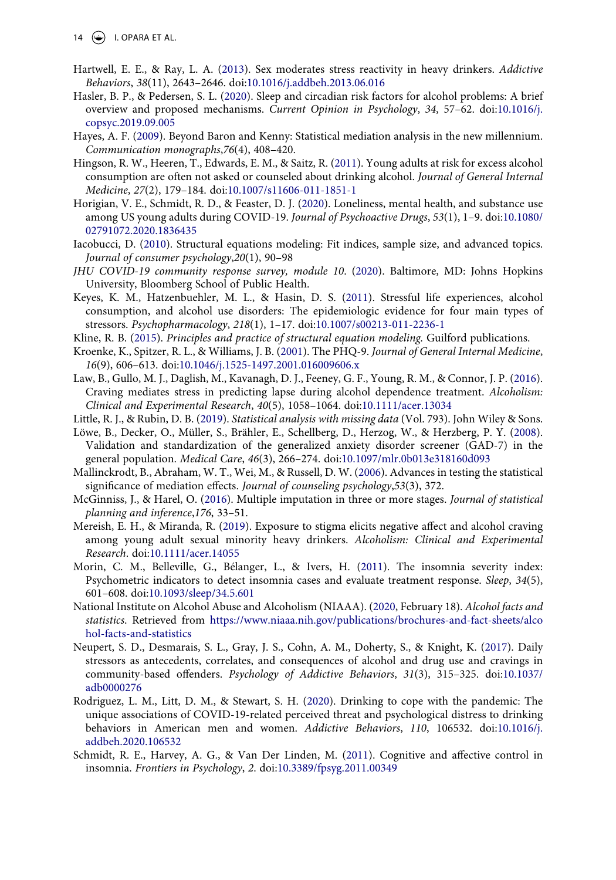- <span id="page-14-3"></span>Hartwell, E. E., & Ray, L. A. ([2013\)](#page-2-1). Sex moderates stress reactivity in heavy drinkers. *Addictive Behaviors*, *38*(11), 2643–2646. doi:[10.1016/j.addbeh.2013.06.016](https://doi.org/10.1016/j.addbeh.2013.06.016)
- <span id="page-14-7"></span>Hasler, B. P., & Pedersen, S. L. ([2020\)](#page-2-4). Sleep and circadian risk factors for alcohol problems: A brief overview and proposed mechanisms. *Current Opinion in Psychology*, *34*, 57–62. doi:[10.1016/j.](https://doi.org/10.1016/j.copsyc.2019.09.005) [copsyc.2019.09.005](https://doi.org/10.1016/j.copsyc.2019.09.005)
- <span id="page-14-16"></span>Hayes, A. F. ([2009](#page-4-3)). Beyond Baron and Kenny: Statistical mediation analysis in the new millennium. *Communication monographs*,*76*(4), 408–420.
- <span id="page-14-19"></span>Hingson, R. W., Heeren, T., Edwards, E. M., & Saitz, R. ([2011](#page-10-1)). Young adults at risk for excess alcohol consumption are often not asked or counseled about drinking alcohol. *Journal of General Internal Medicine*, *27*(2), 179–184. doi:[10.1007/s11606-011-1851-1](https://doi.org/10.1007/s11606-011-1851-1)
- <span id="page-14-8"></span>Horigian, V. E., Schmidt, R. D., & Feaster, D. J. ([2020](#page-3-1)). Loneliness, mental health, and substance use among US young adults during COVID-19. *Journal of Psychoactive Drugs*, *53*(1), 1–9. doi:[10.1080/](https://doi.org/10.1080/02791072.2020.1836435) [02791072.2020.1836435](https://doi.org/10.1080/02791072.2020.1836435)
- <span id="page-14-17"></span>Iacobucci, D. ([2010\)](#page-5-0). Structural equations modeling: Fit indices, sample size, and advanced topics. *Journal of consumer psychology*,*20*(1), 90–98
- <span id="page-14-9"></span>*JHU COVID-19 community response survey, module 10*. [\(2020](#page-3-2)). Baltimore, MD: Johns Hopkins University, Bloomberg School of Public Health.
- <span id="page-14-2"></span>Keyes, K. M., Hatzenbuehler, M. L., & Hasin, D. S. [\(2011](#page-2-5)). Stressful life experiences, alcohol consumption, and alcohol use disorders: The epidemiologic evidence for four main types of stressors. *Psychopharmacology*, *218*(1), 1–17. doi:[10.1007/s00213-011-2236-1](https://doi.org/10.1007/s00213-011-2236-1)
- <span id="page-14-18"></span>Kline, R. B. ([2015](#page-5-1)). *Principles and practice of structural equation modeling.* Guilford publications.
- <span id="page-14-10"></span>Kroenke, K., Spitzer, R. L., & Williams, J. B. ([2001\)](#page-4-4). The PHQ-9. *Journal of General Internal Medicine*, *16*(9), 606–613. doi:[10.1046/j.1525-1497.2001.016009606.x](https://doi.org/10.1046/j.1525-1497.2001.016009606.x)
- <span id="page-14-5"></span>Law, B., Gullo, M. J., Daglish, M., Kavanagh, D. J., Feeney, G. F., Young, R. M., & Connor, J. P. [\(2016\)](#page-2-6). Craving mediates stress in predicting lapse during alcohol dependence treatment. *Alcoholism: Clinical and Experimental Research*, *40*(5), 1058–1064. doi:[10.1111/acer.13034](https://doi.org/10.1111/acer.13034)
- <span id="page-14-13"></span>Little, R. J., & Rubin, D. B. ([2019](#page-4-5)). *Statistical analysis with missing data* (Vol. 793). John Wiley & Sons.
- <span id="page-14-11"></span>Löwe, B., Decker, O., Müller, S., Brähler, E., Schellberg, D., Herzog, W., & Herzberg, P. Y. [\(2008\)](#page-4-6). Validation and standardization of the generalized anxiety disorder screener (GAD-7) in the general population. *Medical Care*, *46*(3), 266–274. doi:[10.1097/mlr.0b013e318160d093](https://doi.org/10.1097/mlr.0b013e318160d093)
- <span id="page-14-15"></span>Mallinckrodt, B., Abraham, W. T., Wei, M., & Russell, D. W. [\(2006\)](#page-4-7). Advances in testing the statistical significance of mediation effects. *Journal of counseling psychology*,*53*(3), 372.
- <span id="page-14-14"></span>McGinniss, J., & Harel, O. [\(2016\)](#page-4-8). Multiple imputation in three or more stages. *Journal of statistical planning and inference*,*176*, 33–51.
- <span id="page-14-4"></span>Mereish, E. H., & Miranda, R. [\(2019\)](#page-2-1). Exposure to stigma elicits negative affect and alcohol craving among young adult sexual minority heavy drinkers. *Alcoholism: Clinical and Experimental Research*. doi:[10.1111/acer.14055](https://doi.org/10.1111/acer.14055)
- <span id="page-14-12"></span>Morin, C. M., Belleville, G., Bélanger, L., & Ivers, H. [\(2011\)](#page-4-2). The insomnia severity index: Psychometric indicators to detect insomnia cases and evaluate treatment response. *Sleep*, *34*(5), 601–608. doi:[10.1093/sleep/34.5.601](https://doi.org/10.1093/sleep/34.5.601)
- <span id="page-14-0"></span>National Institute on Alcohol Abuse and Alcoholism (NIAAA). [\(2020](#page-1-6), February 18). *Alcohol facts and statistics*. Retrieved from [https://www.niaaa.nih.gov/publications/brochures-and-fact-sheets/alco](https://www.niaaa.nih.gov/publications/brochures-and-fact-sheets/alcohol-facts-and-statistics) [hol-facts-and-statistics](https://www.niaaa.nih.gov/publications/brochures-and-fact-sheets/alcohol-facts-and-statistics)
- <span id="page-14-6"></span>Neupert, S. D., Desmarais, S. L., Gray, J. S., Cohn, A. M., Doherty, S., & Knight, K. ([2017\)](#page-2-6). Daily stressors as antecedents, correlates, and consequences of alcohol and drug use and cravings in community-based offenders. *Psychology of Addictive Behaviors*, *31*(3), 315–325. doi:[10.1037/](https://doi.org/10.1037/adb0000276) [adb0000276](https://doi.org/10.1037/adb0000276)
- <span id="page-14-1"></span>Rodriguez, L. M., Litt, D. M., & Stewart, S. H. [\(2020](#page-2-0)). Drinking to cope with the pandemic: The unique associations of COVID-19-related perceived threat and psychological distress to drinking behaviors in American men and women. *Addictive Behaviors*, *110*, 106532. doi:[10.1016/j.](https://doi.org/10.1016/j.addbeh.2020.106532) [addbeh.2020.106532](https://doi.org/10.1016/j.addbeh.2020.106532)
- <span id="page-14-20"></span>Schmidt, R. E., Harvey, A. G., & Van Der Linden, M. [\(2011](#page-11-2)). Cognitive and affective control in insomnia. *Frontiers in Psychology*, *2*. doi:[10.3389/fpsyg.2011.00349](https://doi.org/10.3389/fpsyg.2011.00349)